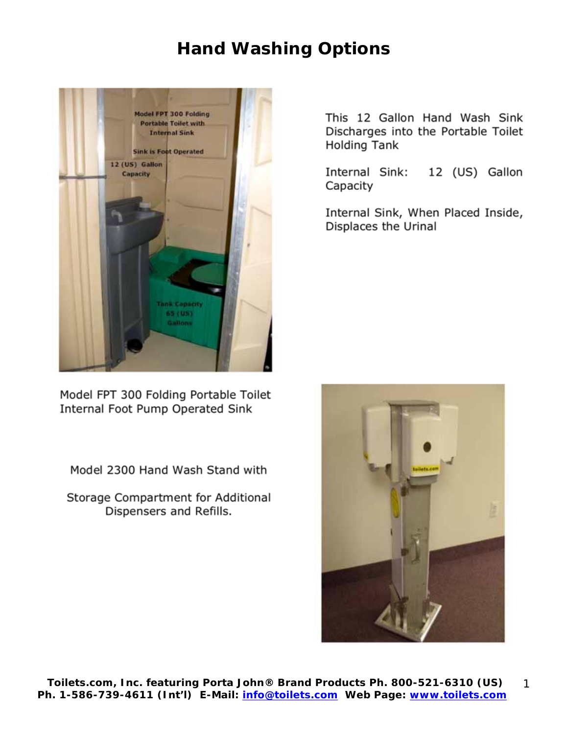## **Hand Washing Options**



Model FPT 300 Folding Portable Toilet Internal Foot Pump Operated Sink

Model 2300 Hand Wash Stand with

Storage Compartment for Additional Dispensers and Refills.

This 12 Gallon Hand Wash Sink Discharges into the Portable Toilet Holding Tank

Internal Sink: 12 (US) Gallon Capacity

Internal Sink, When Placed Inside, Displaces the Urinal

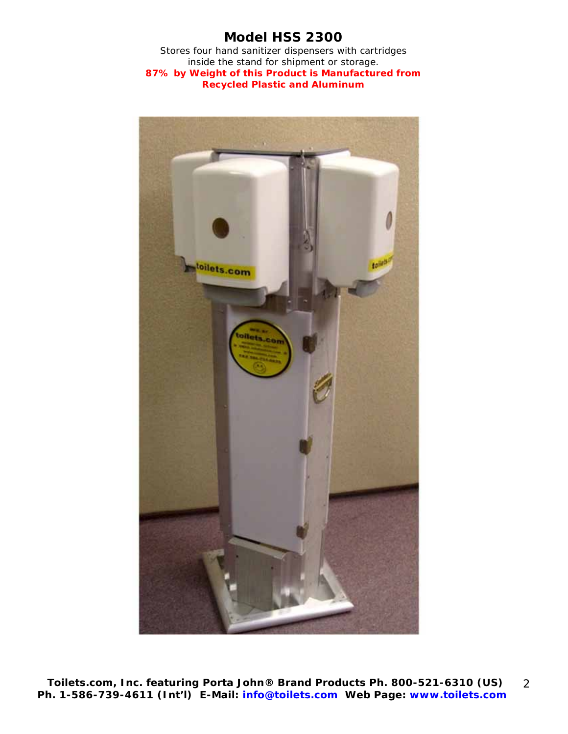### **Model HSS 2300**

Stores four hand sanitizer dispensers with cartridges inside the stand for shipment or storage. **87% by Weight of this Product is Manufactured from Recycled Plastic and Aluminum**

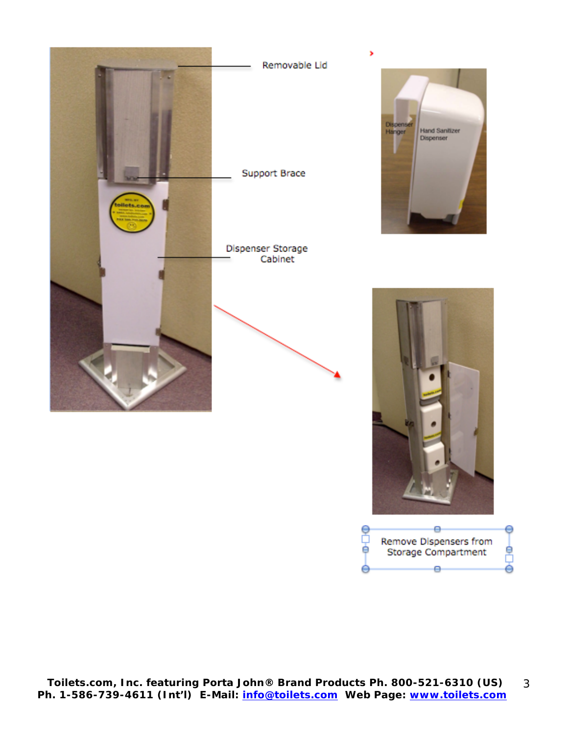

Removable Lid



Dispenser Storage Cabinet







 $\Theta$ 

е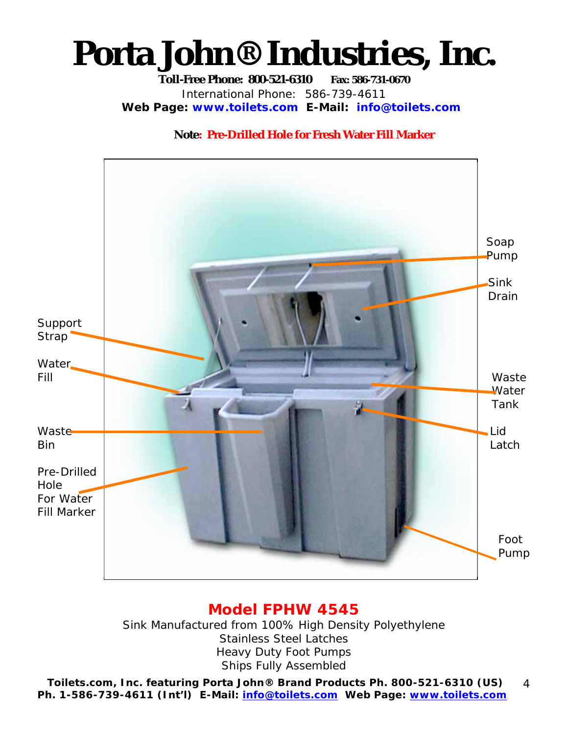# **Porta John® Industries, Inc.**

**Toll-Free Phone: 800-521-6310 Fax: 586-731-0670**  International Phone: 586-739-4611 **Web Page: www.toilets.com E-Mail: info@toilets.com**

#### **Note: Pre-Drilled Hole for Fresh Water Fill Marker**



### **Model FPHW 4545**

Sink Manufactured from 100% High Density Polyethylene Stainless Steel Latches Heavy Duty Foot Pumps Ships Fully Assembled

**Toilets.com, Inc.** *featuring* **Porta John® Brand Products Ph. 800-521-6310 (US) Ph. 1-586-739-4611 (Int'l) E-Mail: info@toilets.com Web Page: www.toilets.com** 4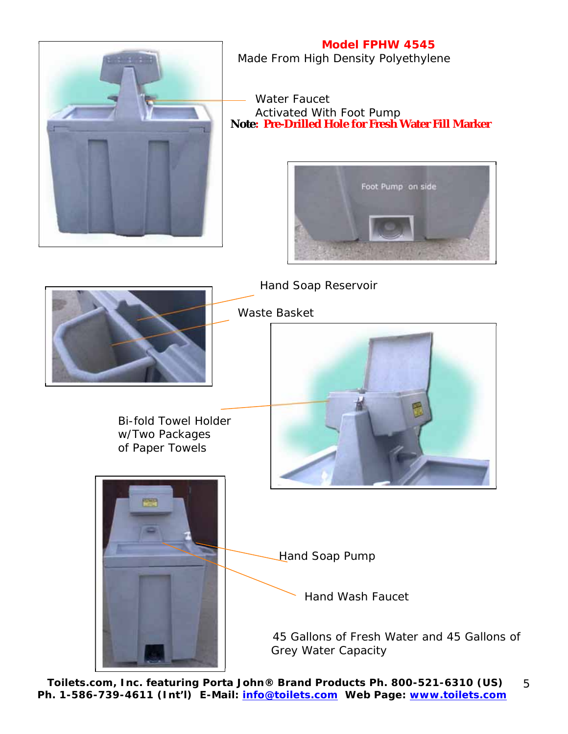

**Model FPHW 4545** Made From High Density Polyethylene

 Water Faucet Activated With Foot Pump **Note: Pre-Drilled Hole for Fresh Water Fill Marker**





**Toilets.com, Inc.** *featuring* **Porta John® Brand Products Ph. 800-521-6310 (US) Ph. 1-586-739-4611 (Int'l) E-Mail: info@toilets.com Web Page: www.toilets.com** 5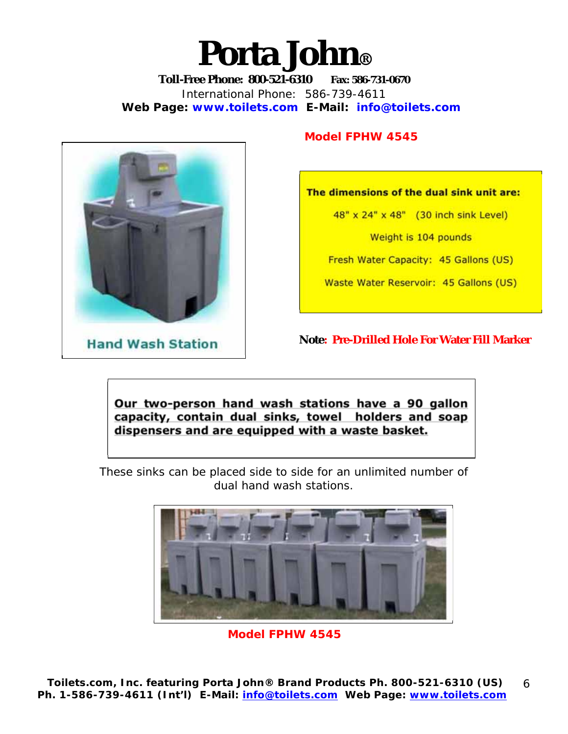# **Porta John®**

**Toll-Free Phone: 800-521-6310 Fax: 586-731-0670**  International Phone: 586-739-4611 **Web Page: www.toilets.com E-Mail: info@toilets.com**



#### **Model FPHW 4545**

**The dimensions of the dual sink unit are:** 

48" x 24" x 48" (30 inch sink Level)

Weight is 104 pounds

Fresh Water Capacity: 45 Gallons (US)

Waste Water Reservoir: 45 Gallons (US)

**Note: Pre-Drilled Hole For Water Fill Marker** 

**Our two-person hand wash stations have a 90 gallon capacity, contain dual sinks, towel holders and soap dispensers and are equipped with a waste basket.** 

These sinks can be placed side to side for an unlimited number of dual hand wash stations.



**Model FPHW 4545**